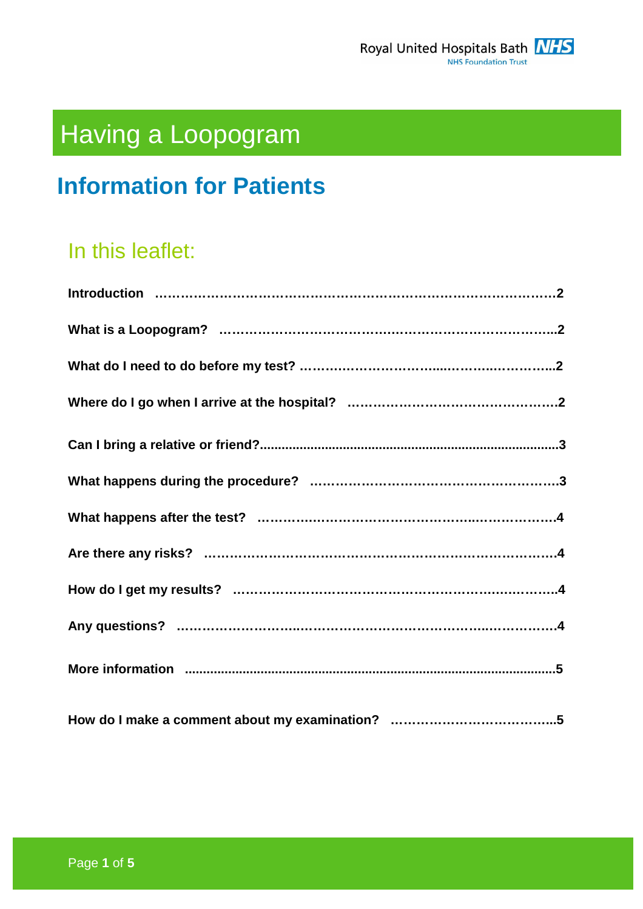

# Having a Loopogram

# **Information for Patients**

# In this leaflet: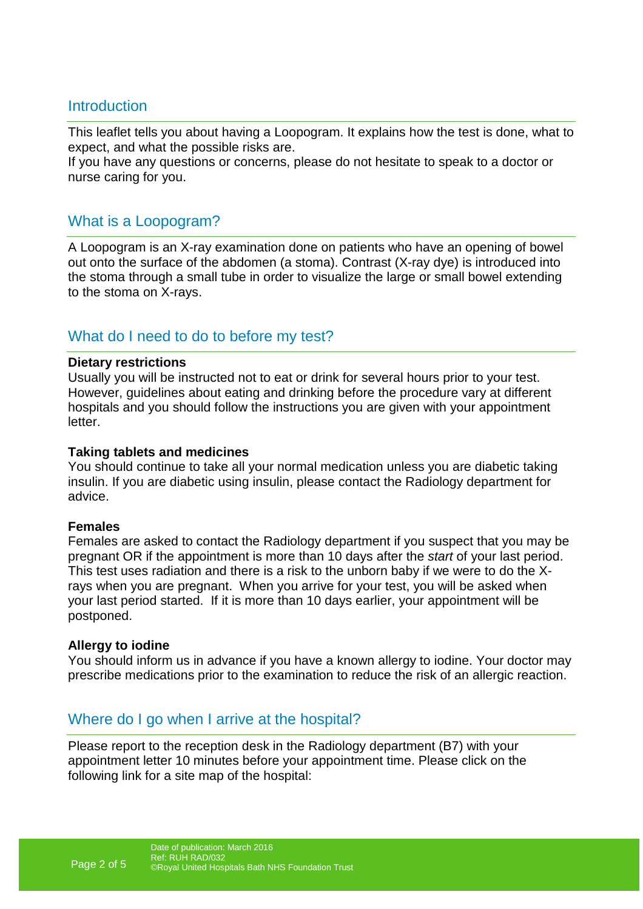#### **Introduction**

This leaflet tells you about having a Loopogram. It explains how the test is done, what to expect, and what the possible risks are.

If you have any questions or concerns, please do not hesitate to speak to a doctor or nurse caring for you.

#### What is a Loopogram?

A Loopogram is an X-ray examination done on patients who have an opening of bowel out onto the surface of the abdomen (a stoma). Contrast (X-ray dye) is introduced into the stoma through a small tube in order to visualize the large or small bowel extending to the stoma on X-rays.

### What do I need to do to before my test?

#### **Dietary restrictions**

Usually you will be instructed not to eat or drink for several hours prior to your test. However, guidelines about eating and drinking before the procedure vary at different hospitals and you should follow the instructions you are given with your appointment letter.

#### **Taking tablets and medicines**

You should continue to take all your normal medication unless you are diabetic taking insulin. If you are diabetic using insulin, please contact the Radiology department for advice.

#### **Females**

Females are asked to contact the Radiology department if you suspect that you may be pregnant OR if the appointment is more than 10 days after the start of your last period. This test uses radiation and there is a risk to the unborn baby if we were to do the Xrays when you are pregnant. When you arrive for your test, you will be asked when your last period started. If it is more than 10 days earlier, your appointment will be postponed.

#### **Allergy to iodine**

You should inform us in advance if you have a known allergy to iodine. Your doctor may prescribe medications prior to the examination to reduce the risk of an allergic reaction.

### Where do I go when I arrive at the hospital?

Please report to the reception desk in the Radiology department (B7) with your appointment letter 10 minutes before your appointment time. Please click on the following link for a site map of the hospital: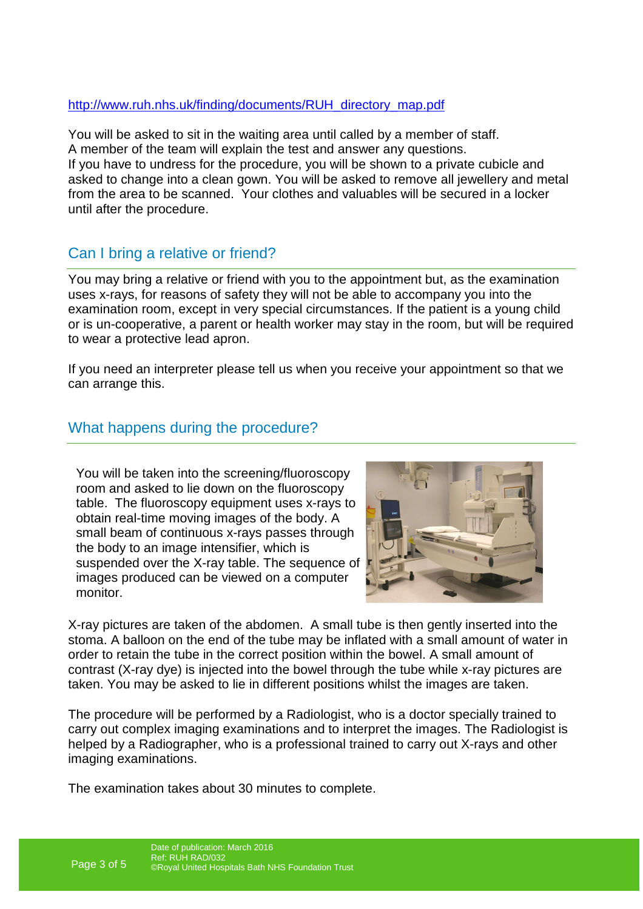#### http://www.ruh.nhs.uk/finding/documents/RUH\_directory\_map.pdf

You will be asked to sit in the waiting area until called by a member of staff. A member of the team will explain the test and answer any questions. If you have to undress for the procedure, you will be shown to a private cubicle and asked to change into a clean gown. You will be asked to remove all jewellery and metal from the area to be scanned. Your clothes and valuables will be secured in a locker until after the procedure.

# Can I bring a relative or friend?

You may bring a relative or friend with you to the appointment but, as the examination uses x-rays, for reasons of safety they will not be able to accompany you into the examination room, except in very special circumstances. If the patient is a young child or is un-cooperative, a parent or health worker may stay in the room, but will be required to wear a protective lead apron.

If you need an interpreter please tell us when you receive your appointment so that we can arrange this.

# What happens during the procedure?

You will be taken into the screening/fluoroscopy room and asked to lie down on the fluoroscopy table. The fluoroscopy equipment uses x-rays to obtain real-time moving images of the body. A small beam of continuous x-rays passes through the body to an image intensifier, which is suspended over the X-ray table. The sequence of images produced can be viewed on a computer monitor.



X-ray pictures are taken of the abdomen. A small tube is then gently inserted into the stoma. A balloon on the end of the tube may be inflated with a small amount of water in order to retain the tube in the correct position within the bowel. A small amount of contrast (X-ray dye) is injected into the bowel through the tube while x-ray pictures are taken. You may be asked to lie in different positions whilst the images are taken.

The procedure will be performed by a Radiologist, who is a doctor specially trained to carry out complex imaging examinations and to interpret the images. The Radiologist is helped by a Radiographer, who is a professional trained to carry out X-rays and other imaging examinations.

The examination takes about 30 minutes to complete.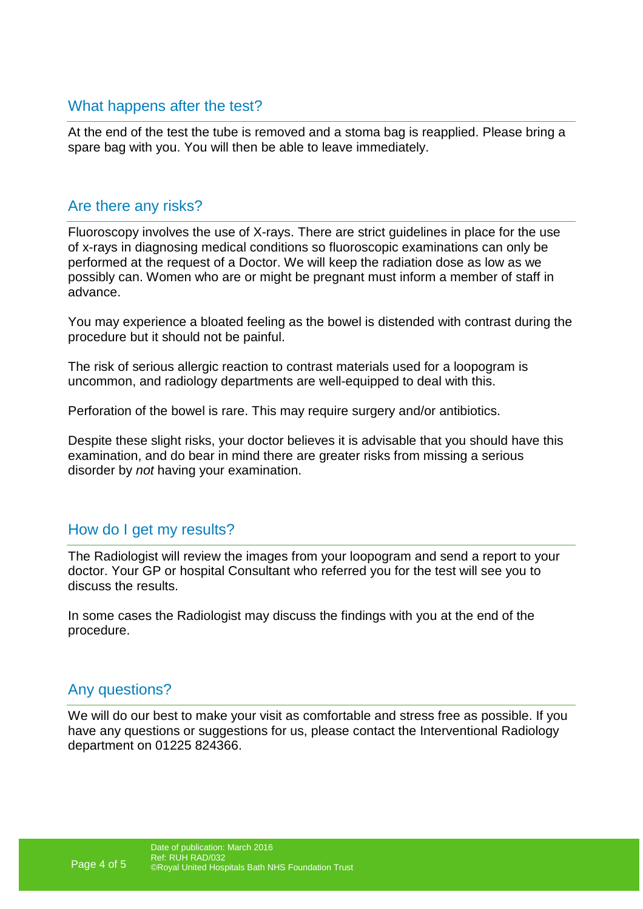#### What happens after the test?

At the end of the test the tube is removed and a stoma bag is reapplied. Please bring a spare bag with you. You will then be able to leave immediately.

#### Are there any risks?

Fluoroscopy involves the use of X-rays. There are strict guidelines in place for the use of x-rays in diagnosing medical conditions so fluoroscopic examinations can only be performed at the request of a Doctor. We will keep the radiation dose as low as we possibly can. Women who are or might be pregnant must inform a member of staff in advance.

You may experience a bloated feeling as the bowel is distended with contrast during the procedure but it should not be painful.

The risk of serious allergic reaction to contrast materials used for a loopogram is uncommon, and radiology departments are well-equipped to deal with this.

Perforation of the bowel is rare. This may require surgery and/or antibiotics.

Despite these slight risks, your doctor believes it is advisable that you should have this examination, and do bear in mind there are greater risks from missing a serious disorder by *not* having your examination.

### How do I get my results?

The Radiologist will review the images from your loopogram and send a report to your doctor. Your GP or hospital Consultant who referred you for the test will see you to discuss the results.

In some cases the Radiologist may discuss the findings with you at the end of the procedure.

### Any questions?

We will do our best to make your visit as comfortable and stress free as possible. If you have any questions or suggestions for us, please contact the Interventional Radiology department on 01225 824366.